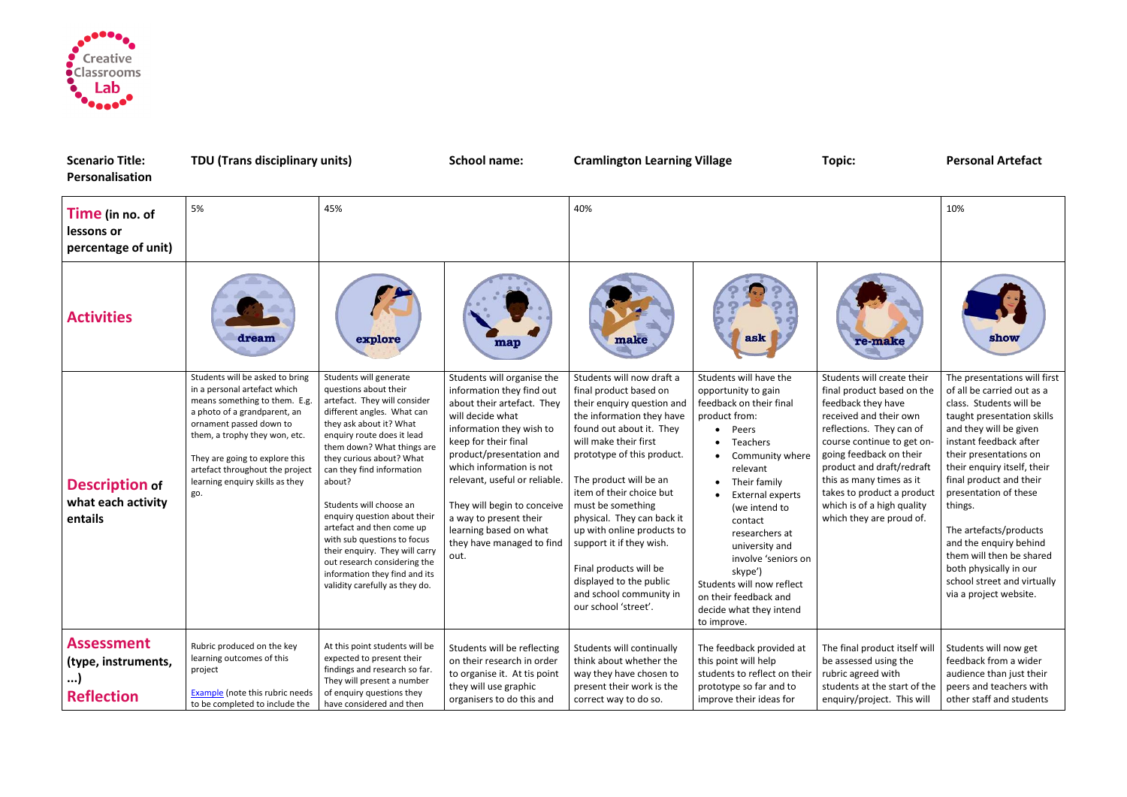

| <b>Scenario Title:</b><br>Personalisation                          | <b>TDU (Trans disciplinary units)</b>                                                                                                                                                                                                                                                                       |                                                                                                                                                                                                                                                                                                                                                                                                                                                                                                                                     | <b>School name:</b>                                                                                                                                                                                                                                                                                                                                                            | <b>Cramlington Learning Village</b>                                                                                                                                                                                                                                                                                                                                                                                                                                          |                                                                                                                                                                                                                                                                                                                                                                                                         | <b>Topic:</b>                                                                                                                                                                                                                                                                                                                                  | <b>Personal Artefact</b>                                                                                                                                                                                                                                                                                                                                                                                                                                           |
|--------------------------------------------------------------------|-------------------------------------------------------------------------------------------------------------------------------------------------------------------------------------------------------------------------------------------------------------------------------------------------------------|-------------------------------------------------------------------------------------------------------------------------------------------------------------------------------------------------------------------------------------------------------------------------------------------------------------------------------------------------------------------------------------------------------------------------------------------------------------------------------------------------------------------------------------|--------------------------------------------------------------------------------------------------------------------------------------------------------------------------------------------------------------------------------------------------------------------------------------------------------------------------------------------------------------------------------|------------------------------------------------------------------------------------------------------------------------------------------------------------------------------------------------------------------------------------------------------------------------------------------------------------------------------------------------------------------------------------------------------------------------------------------------------------------------------|---------------------------------------------------------------------------------------------------------------------------------------------------------------------------------------------------------------------------------------------------------------------------------------------------------------------------------------------------------------------------------------------------------|------------------------------------------------------------------------------------------------------------------------------------------------------------------------------------------------------------------------------------------------------------------------------------------------------------------------------------------------|--------------------------------------------------------------------------------------------------------------------------------------------------------------------------------------------------------------------------------------------------------------------------------------------------------------------------------------------------------------------------------------------------------------------------------------------------------------------|
| Time (in no. of<br>lessons or<br>percentage of unit)               | 5%                                                                                                                                                                                                                                                                                                          | 45%                                                                                                                                                                                                                                                                                                                                                                                                                                                                                                                                 |                                                                                                                                                                                                                                                                                                                                                                                | 40%                                                                                                                                                                                                                                                                                                                                                                                                                                                                          |                                                                                                                                                                                                                                                                                                                                                                                                         |                                                                                                                                                                                                                                                                                                                                                | 10%                                                                                                                                                                                                                                                                                                                                                                                                                                                                |
| <b>Activities</b>                                                  | dream                                                                                                                                                                                                                                                                                                       | explore                                                                                                                                                                                                                                                                                                                                                                                                                                                                                                                             | map                                                                                                                                                                                                                                                                                                                                                                            | make                                                                                                                                                                                                                                                                                                                                                                                                                                                                         | ask                                                                                                                                                                                                                                                                                                                                                                                                     | re-make                                                                                                                                                                                                                                                                                                                                        | show                                                                                                                                                                                                                                                                                                                                                                                                                                                               |
| <b>Description of</b><br>what each activity<br>entails             | Students will be asked to bring<br>in a personal artefact which<br>means something to them. E.g.<br>a photo of a grandparent, an<br>ornament passed down to<br>them, a trophy they won, etc.<br>They are going to explore this<br>artefact throughout the project<br>learning enquiry skills as they<br>go. | Students will generate<br>questions about their<br>artefact. They will consider<br>different angles. What can<br>they ask about it? What<br>enquiry route does it lead<br>them down? What things are<br>they curious about? What<br>can they find information<br>about?<br>Students will choose an<br>enquiry question about their<br>artefact and then come up<br>with sub questions to focus<br>their enquiry. They will carry<br>out research considering the<br>information they find and its<br>validity carefully as they do. | Students will organise the<br>information they find out<br>about their artefact. They<br>will decide what<br>information they wish to<br>keep for their final<br>product/presentation and<br>which information is not<br>relevant, useful or reliable.<br>They will begin to conceive<br>a way to present their<br>learning based on what<br>they have managed to find<br>out. | Students will now draft a<br>final product based on<br>their enquiry question and<br>the information they have<br>found out about it. They<br>will make their first<br>prototype of this product.<br>The product will be an<br>item of their choice but<br>must be something<br>physical. They can back it<br>up with online products to<br>support it if they wish.<br>Final products will be<br>displayed to the public<br>and school community in<br>our school 'street'. | Students will have the<br>opportunity to gain<br>feedback on their final<br>product from:<br>Peers<br>$\bullet$<br>Teachers<br>Community where<br>relevant<br>Their family<br><b>External experts</b><br>(we intend to<br>contact<br>researchers at<br>university and<br>involve 'seniors on<br>skype')<br>Students will now reflect<br>on their feedback and<br>decide what they intend<br>to improve. | Students will create their<br>final product based on the<br>feedback they have<br>received and their own<br>reflections. They can of<br>course continue to get on-<br>going feedback on their<br>product and draft/redraft<br>this as many times as it<br>takes to product a product<br>which is of a high quality<br>which they are proud of. | The presentations will first<br>of all be carried out as a<br>class. Students will be<br>taught presentation skills<br>and they will be given<br>instant feedback after<br>their presentations on<br>their enquiry itself, their<br>final product and their<br>presentation of these<br>things.<br>The artefacts/products<br>and the enquiry behind<br>them will then be shared<br>both physically in our<br>school street and virtually<br>via a project website. |
| <b>Assessment</b><br>(type, instruments,<br>)<br><b>Reflection</b> | Rubric produced on the key<br>learning outcomes of this<br>project<br><b>Example</b> (note this rubric needs<br>to be completed to include the                                                                                                                                                              | At this point students will be<br>expected to present their<br>findings and research so far.<br>They will present a number<br>of enquiry questions they<br>have considered and then                                                                                                                                                                                                                                                                                                                                                 | Students will be reflecting<br>on their research in order<br>to organise it. At tis point<br>they will use graphic<br>organisers to do this and                                                                                                                                                                                                                                | Students will continually<br>think about whether the<br>way they have chosen to<br>present their work is the<br>correct way to do so.                                                                                                                                                                                                                                                                                                                                        | The feedback provided at<br>this point will help<br>students to reflect on their<br>prototype so far and to<br>improve their ideas for                                                                                                                                                                                                                                                                  | The final product itself wil<br>be assessed using the<br>rubric agreed with<br>students at the start of the<br>enquiry/project. This will                                                                                                                                                                                                      | Students will now get<br>feedback from a wider<br>audience than just their<br>peers and teachers with<br>other staff and students                                                                                                                                                                                                                                                                                                                                  |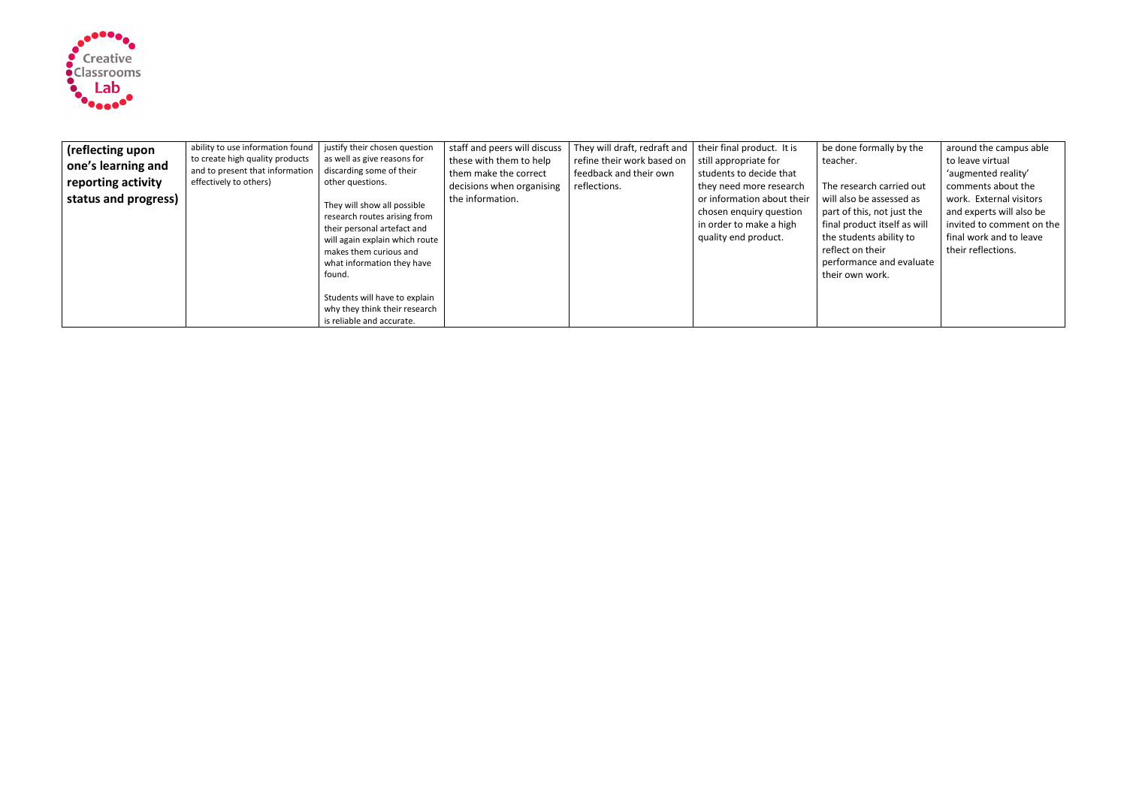

| (reflecting upon     | ability to use information found | justify their chosen question                                                                                                                                                                  | staff and peers will discuss | They will draft, redraft and | their final product. It is                                                                               | be done                                                                             |
|----------------------|----------------------------------|------------------------------------------------------------------------------------------------------------------------------------------------------------------------------------------------|------------------------------|------------------------------|----------------------------------------------------------------------------------------------------------|-------------------------------------------------------------------------------------|
| one's learning and   | to create high quality products  | as well as give reasons for                                                                                                                                                                    | these with them to help      | refine their work based on   | still appropriate for                                                                                    | teacher.                                                                            |
|                      | and to present that information  | discarding some of their                                                                                                                                                                       | them make the correct        | feedback and their own       | students to decide that                                                                                  |                                                                                     |
| reporting activity   | effectively to others)           | other questions.                                                                                                                                                                               | decisions when organising    | reflections.                 | they need more research                                                                                  | The rese                                                                            |
| status and progress) |                                  | They will show all possible<br>research routes arising from<br>their personal artefact and<br>will again explain which route<br>makes them curious and<br>what information they have<br>found. | the information.             |                              | or information about their<br>chosen enquiry question<br>in order to make a high<br>quality end product. | will also<br>part of t<br>final pro<br>the stud<br>reflect o<br>perform<br>their ow |
|                      |                                  | Students will have to explain<br>why they think their research<br>is reliable and accurate.                                                                                                    |                              |                              |                                                                                                          |                                                                                     |

| be done formally by the      | around the campus able    |
|------------------------------|---------------------------|
| teacher.                     | to leave virtual          |
|                              | 'augmented reality'       |
| The research carried out     | comments about the        |
| will also be assessed as     | work. External visitors   |
| part of this, not just the   | and experts will also be  |
| final product itself as will | invited to comment on the |
| the students ability to      | final work and to leave   |
| reflect on their             | their reflections.        |
| performance and evaluate     |                           |
| their own work.              |                           |
|                              |                           |
|                              |                           |
|                              |                           |
|                              |                           |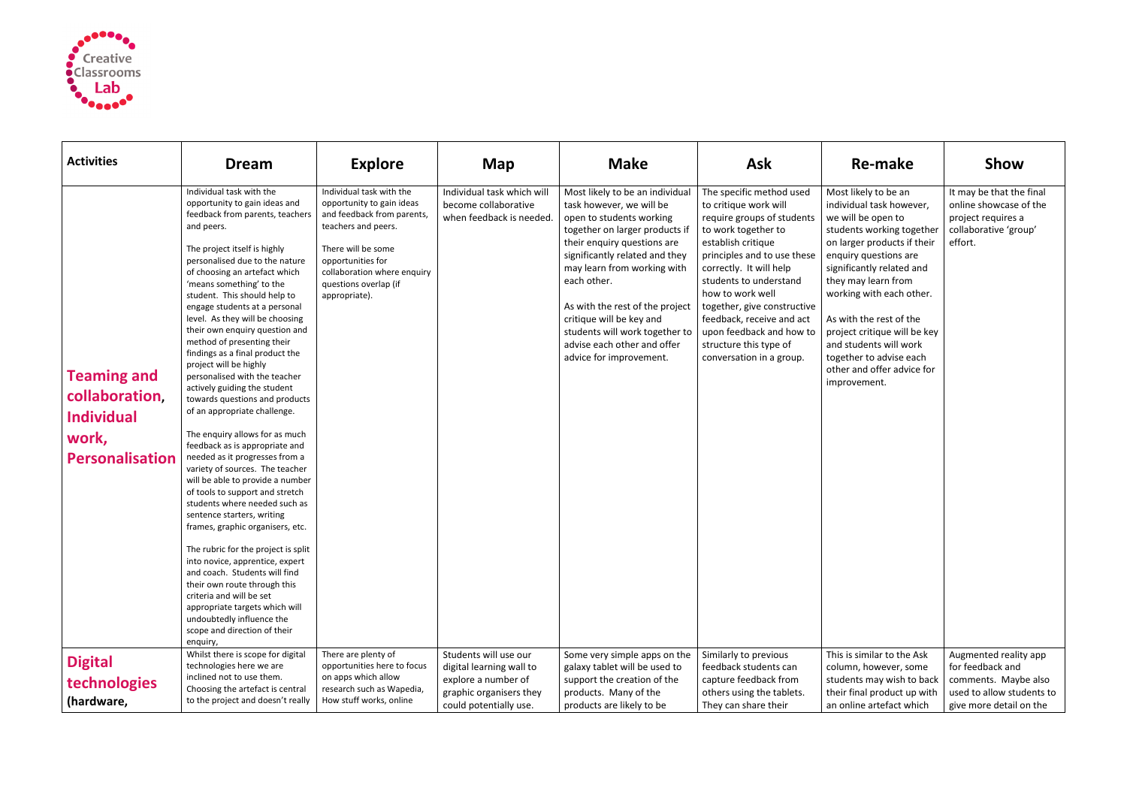

| <b>Activities</b>                                                                     | <b>Dream</b>                                                                                                                                                                                                                                                                                                                                                                                                                                                                                                                                                                                                                                                                                                                                                                                                                                                                                                                                                                                                                                                                                                                                                                                                       | <b>Explore</b>                                                                                                                                                                                                                 | <b>Map</b>                                                                                                                    | <b>Make</b>                                                                                                                                                                                                                                                                                                                                                                                         | <b>Ask</b>                                                                                                                                                                                                                                                                                                                                                                         | Re-make                                                                                                                                                                                                                                                                                                                                                                                                   | Show                                                                                                                      |
|---------------------------------------------------------------------------------------|--------------------------------------------------------------------------------------------------------------------------------------------------------------------------------------------------------------------------------------------------------------------------------------------------------------------------------------------------------------------------------------------------------------------------------------------------------------------------------------------------------------------------------------------------------------------------------------------------------------------------------------------------------------------------------------------------------------------------------------------------------------------------------------------------------------------------------------------------------------------------------------------------------------------------------------------------------------------------------------------------------------------------------------------------------------------------------------------------------------------------------------------------------------------------------------------------------------------|--------------------------------------------------------------------------------------------------------------------------------------------------------------------------------------------------------------------------------|-------------------------------------------------------------------------------------------------------------------------------|-----------------------------------------------------------------------------------------------------------------------------------------------------------------------------------------------------------------------------------------------------------------------------------------------------------------------------------------------------------------------------------------------------|------------------------------------------------------------------------------------------------------------------------------------------------------------------------------------------------------------------------------------------------------------------------------------------------------------------------------------------------------------------------------------|-----------------------------------------------------------------------------------------------------------------------------------------------------------------------------------------------------------------------------------------------------------------------------------------------------------------------------------------------------------------------------------------------------------|---------------------------------------------------------------------------------------------------------------------------|
| <b>Teaming and</b><br>collaboration,<br><b>Individual</b><br>work,<br>Personalisation | Individual task with the<br>opportunity to gain ideas and<br>feedback from parents, teachers<br>and peers.<br>The project itself is highly<br>personalised due to the nature<br>of choosing an artefact which<br>'means something' to the<br>student. This should help to<br>engage students at a personal<br>level. As they will be choosing<br>their own enquiry question and<br>method of presenting their<br>findings as a final product the<br>project will be highly<br>personalised with the teacher<br>actively guiding the student<br>towards questions and products<br>of an appropriate challenge.<br>The enquiry allows for as much<br>feedback as is appropriate and<br>needed as it progresses from a<br>variety of sources. The teacher<br>will be able to provide a number<br>of tools to support and stretch<br>students where needed such as<br>sentence starters, writing<br>frames, graphic organisers, etc.<br>The rubric for the project is split<br>into novice, apprentice, expert<br>and coach. Students will find<br>their own route through this<br>criteria and will be set<br>appropriate targets which will<br>undoubtedly influence the<br>scope and direction of their<br>enquiry, | Individual task with the<br>opportunity to gain ideas<br>and feedback from parents,<br>teachers and peers.<br>There will be some<br>opportunities for<br>collaboration where enquiry<br>questions overlap (if<br>appropriate). | Individual task which will<br>become collaborative<br>when feedback is needed.                                                | Most likely to be an individual<br>task however, we will be<br>open to students working<br>together on larger products if<br>their enquiry questions are<br>significantly related and they<br>may learn from working with<br>each other.<br>As with the rest of the project<br>critique will be key and<br>students will work together to<br>advise each other and offer<br>advice for improvement. | The specific method used<br>to critique work will<br>require groups of students<br>to work together to<br>establish critique<br>principles and to use these<br>correctly. It will help<br>students to understand<br>how to work well<br>together, give constructive<br>feedback, receive and act<br>upon feedback and how to<br>structure this type of<br>conversation in a group. | Most likely to be an<br>individual task however,<br>we will be open to<br>students working together<br>on larger products if their<br>enquiry questions are<br>significantly related and<br>they may learn from<br>working with each other.<br>As with the rest of the<br>project critique will be key<br>and students will work<br>together to advise each<br>other and offer advice for<br>improvement. | It may be that the final<br>online showcase of the<br>project requires a<br>collaborative 'group'<br>effort.              |
| <b>Digital</b><br>technologies<br>(hardware,                                          | Whilst there is scope for digital<br>technologies here we are<br>inclined not to use them.<br>Choosing the artefact is central<br>to the project and doesn't really                                                                                                                                                                                                                                                                                                                                                                                                                                                                                                                                                                                                                                                                                                                                                                                                                                                                                                                                                                                                                                                | There are plenty of<br>opportunities here to focus<br>on apps which allow<br>research such as Wapedia,<br>How stuff works, online                                                                                              | Students will use our<br>digital learning wall to<br>explore a number of<br>graphic organisers they<br>could potentially use. | Some very simple apps on the<br>galaxy tablet will be used to<br>support the creation of the<br>products. Many of the<br>products are likely to be                                                                                                                                                                                                                                                  | Similarly to previous<br>feedback students can<br>capture feedback from<br>others using the tablets.<br>They can share their                                                                                                                                                                                                                                                       | This is similar to the Ask<br>column, however, some<br>students may wish to back<br>their final product up with<br>an online artefact which                                                                                                                                                                                                                                                               | Augmented reality app<br>for feedback and<br>comments. Maybe also<br>used to allow students to<br>give more detail on the |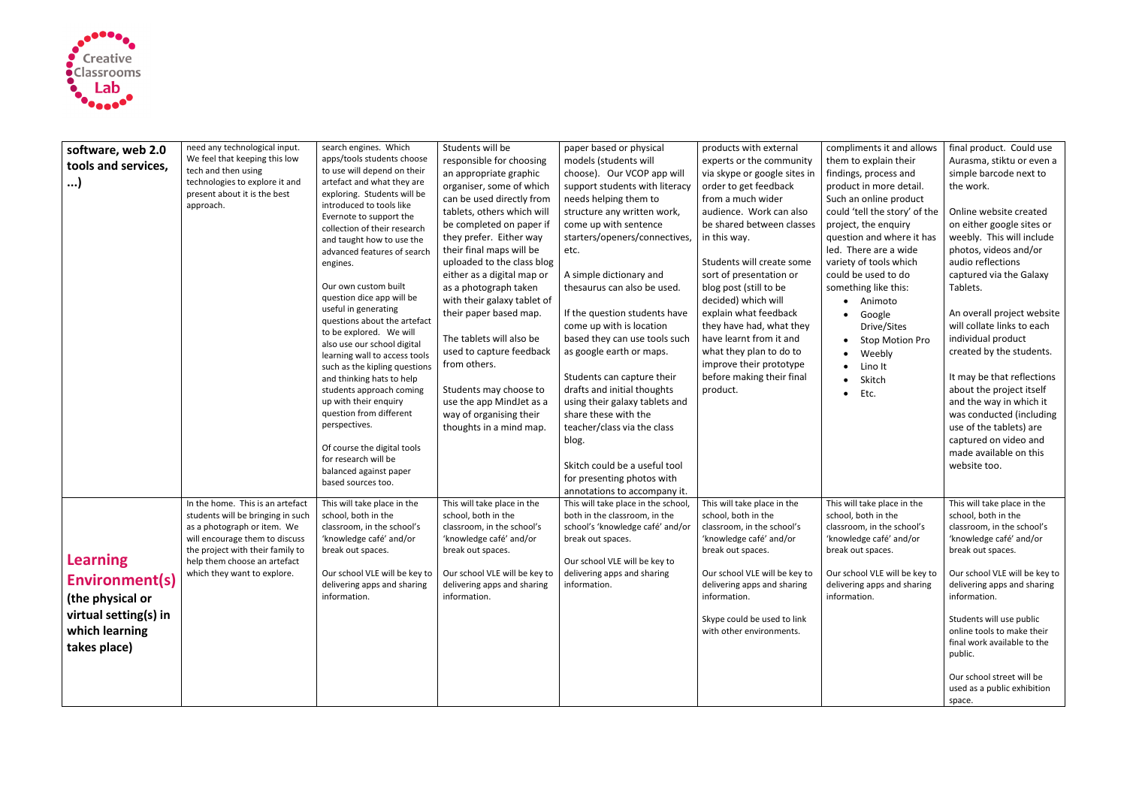

| software, web 2.0<br>tools and services,<br>)                                                                           | need any technological input.<br>We feel that keeping this low<br>tech and then using<br>technologies to explore it and<br>present about it is the best<br>approach.                                                                      | search engines. Which<br>apps/tools students choose<br>to use will depend on their<br>artefact and what they are<br>exploring. Students will be<br>introduced to tools like<br>Evernote to support the<br>collection of their research<br>and taught how to use the<br>advanced features of search<br>engines.<br>Our own custom built<br>question dice app will be<br>useful in generating<br>questions about the artefact<br>to be explored. We will<br>also use our school digital<br>learning wall to access tools<br>such as the kipling questions<br>and thinking hats to help<br>students approach coming<br>up with their enquiry<br>question from different<br>perspectives.<br>Of course the digital tools<br>for research will be<br>balanced against paper | Students will be<br>responsible for choosing<br>an appropriate graphic<br>organiser, some of which<br>can be used directly from<br>tablets, others which will<br>be completed on paper if<br>they prefer. Either way<br>their final maps will be<br>uploaded to the class blog<br>either as a digital map or<br>as a photograph taken<br>with their galaxy tablet of<br>their paper based map.<br>The tablets will also be<br>used to capture feedback<br>from others.<br>Students may choose to<br>use the app MindJet as a<br>way of organising their<br>thoughts in a mind map. | paper based or physical<br>models (students will<br>choose). Our VCOP app will<br>support students with literacy<br>needs helping them to<br>structure any written work,<br>come up with sentence<br>starters/openers/connectives,<br>etc.<br>A simple dictionary and<br>thesaurus can also be used.<br>If the question students have<br>come up with is location<br>based they can use tools such<br>as google earth or maps.<br>Students can capture their<br>drafts and initial thoughts<br>using their galaxy tablets and<br>share these with the<br>teacher/class via the class<br>blog.<br>Skitch could be a useful tool<br>for presenting photos with | products with external<br>experts or the community<br>via skype or google sites in<br>order to get feedback<br>from a much wider<br>audience. Work can also<br>be shared between classes<br>in this way.<br>Students will create some<br>sort of presentation or<br>blog post (still to be<br>decided) which will<br>explain what feedback<br>they have had, what they<br>have learnt from it and<br>what they plan to do to<br>improve their prototype<br>before making their final<br>product. | compliments it and allows<br>them to explain their<br>findings, process and<br>product in more detail.<br>Such an online product<br>could 'tell the story' of the<br>project, the enquiry<br>question and where it has<br>led. There are a wide<br>variety of tools which<br>could be used to do<br>something like this:<br>Animoto<br>Google<br>$\bullet$<br>Drive/Sites<br><b>Stop Motion Pro</b><br>Weebly<br>$\bullet$<br>Lino It<br>Skitch<br>$\bullet$<br>Etc.<br>$\bullet$ | final product. Could use<br>Aurasma, stiktu or even a<br>simple barcode next to<br>the work.<br>Online website created<br>on either google sites or<br>weebly. This will include<br>photos, videos and/or<br>audio reflections<br>captured via the Galaxy<br>Tablets.<br>An overall project website<br>will collate links to each<br>individual product<br>created by the students.<br>It may be that reflections<br>about the project itself<br>and the way in which it<br>was conducted (including<br>use of the tablets) are<br>captured on video and<br>made available on this<br>website too. |
|-------------------------------------------------------------------------------------------------------------------------|-------------------------------------------------------------------------------------------------------------------------------------------------------------------------------------------------------------------------------------------|------------------------------------------------------------------------------------------------------------------------------------------------------------------------------------------------------------------------------------------------------------------------------------------------------------------------------------------------------------------------------------------------------------------------------------------------------------------------------------------------------------------------------------------------------------------------------------------------------------------------------------------------------------------------------------------------------------------------------------------------------------------------|------------------------------------------------------------------------------------------------------------------------------------------------------------------------------------------------------------------------------------------------------------------------------------------------------------------------------------------------------------------------------------------------------------------------------------------------------------------------------------------------------------------------------------------------------------------------------------|--------------------------------------------------------------------------------------------------------------------------------------------------------------------------------------------------------------------------------------------------------------------------------------------------------------------------------------------------------------------------------------------------------------------------------------------------------------------------------------------------------------------------------------------------------------------------------------------------------------------------------------------------------------|--------------------------------------------------------------------------------------------------------------------------------------------------------------------------------------------------------------------------------------------------------------------------------------------------------------------------------------------------------------------------------------------------------------------------------------------------------------------------------------------------|-----------------------------------------------------------------------------------------------------------------------------------------------------------------------------------------------------------------------------------------------------------------------------------------------------------------------------------------------------------------------------------------------------------------------------------------------------------------------------------|----------------------------------------------------------------------------------------------------------------------------------------------------------------------------------------------------------------------------------------------------------------------------------------------------------------------------------------------------------------------------------------------------------------------------------------------------------------------------------------------------------------------------------------------------------------------------------------------------|
| <b>Learning</b><br><b>Environment(s)</b><br>(the physical or<br>virtual setting(s) in<br>which learning<br>takes place) | In the home. This is an artefact<br>students will be bringing in such<br>as a photograph or item. We<br>will encourage them to discuss<br>the project with their family to<br>help them choose an artefact<br>which they want to explore. | based sources too.<br>This will take place in the<br>school, both in the<br>classroom, in the school's<br>'knowledge café' and/or<br>break out spaces.<br>Our school VLE will be key to<br>delivering apps and sharing<br>information.                                                                                                                                                                                                                                                                                                                                                                                                                                                                                                                                 | This will take place in the<br>school, both in the<br>classroom, in the school's<br>'knowledge café' and/or<br>break out spaces.<br>Our school VLE will be key to<br>delivering apps and sharing<br>information.                                                                                                                                                                                                                                                                                                                                                                   | annotations to accompany it.<br>This will take place in the school,<br>both in the classroom, in the<br>school's 'knowledge café' and/or<br>break out spaces.<br>Our school VLE will be key to<br>delivering apps and sharing<br>information.                                                                                                                                                                                                                                                                                                                                                                                                                | This will take place in the<br>school, both in the<br>classroom, in the school's<br>'knowledge café' and/or<br>break out spaces.<br>Our school VLE will be key to<br>delivering apps and sharing<br>information.<br>Skype could be used to link<br>with other environments.                                                                                                                                                                                                                      | This will take place in the<br>school, both in the<br>classroom, in the school's<br>'knowledge café' and/or<br>break out spaces.<br>Our school VLE will be key to<br>delivering apps and sharing<br>information.                                                                                                                                                                                                                                                                  | This will take place in the<br>school, both in the<br>classroom, in the school's<br>'knowledge café' and/or<br>break out spaces.<br>Our school VLE will be key to<br>delivering apps and sharing<br>information.<br>Students will use public<br>online tools to make their<br>final work available to the<br>public.<br>Our school street will be<br>used as a public exhibition<br>space.                                                                                                                                                                                                         |